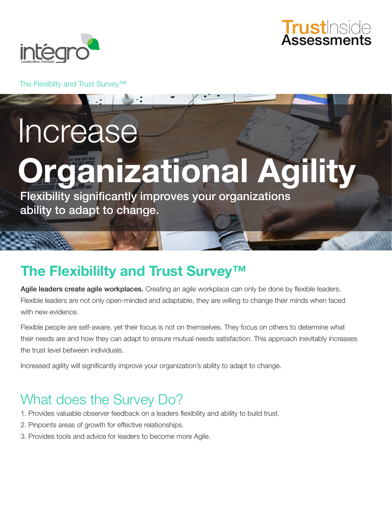



The Flexibilty and Trust Survey™

Increase

# **Organizational Agility**

Flexibility significantly improves your organizations ability to adapt to change.

### **The Flexibililty and Trust Survey™**

Agile leaders create agile workplaces. Creating an agile workplace can only be done by flexible leaders. Flexible leaders are not only open-minded and adaptable, they are willing to change their minds when faced with new evidence.

Flexible people are self-aware, yet their focus is not on themselves. They focus on others to determine what their needs are and how they can adapt to ensure mutual needs satisfaction. This approach inevitably increases the trust level between individuals.

Increased agility will significantly improve your organization's ability to adapt to change.

## What does the Survey Do?

- 1. Provides valuable observer feedback on a leaders flexibility and ability to build trust.
- 2. Pinpoints areas of growth for effective relationships.
- 3. Provides tools and advice for leaders to become more Agile.